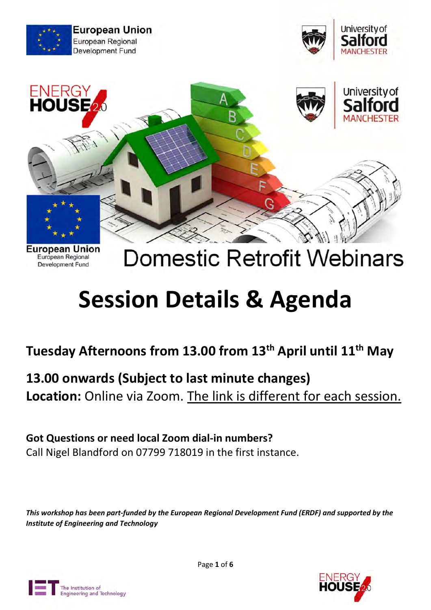

**Development Fund** 

# **Domestic Retrofit Webinars**

# Session Details & Agenda

Tuesday Afternoons from 13.00 from 13<sup>th</sup> April until 11<sup>th</sup> May

## 13.00 onwards (Subject to last minute changes)

Location: Online via Zoom. The link is different for each session.

### Got Questions or need local Zoom dial-in numbers?

Call Nigel Blandford on 07799 718019 in the first instance.

This workshop has been part-funded by the European Regional Development Fund (ERDF) and supported by the Institute of Engineering and Technology



Page 1 of 6

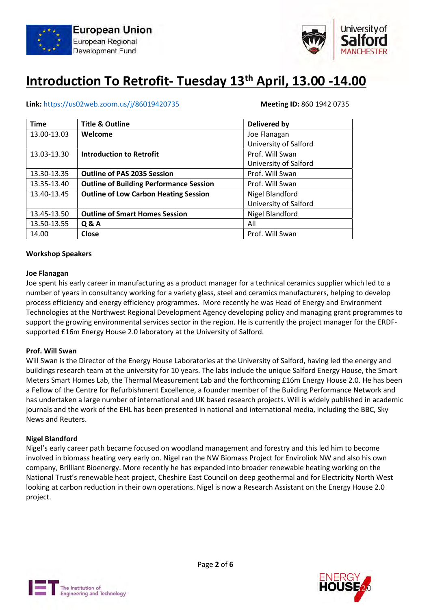



## Introduction To Retrofit- Tuesday 13<sup>th</sup> April, 13.00 -14.00

#### Link: https://us02web.zoom.us/j/86019420735 Meeting ID: 860 1942 0735

| <b>Time</b> | <b>Title &amp; Outline</b>                     | Delivered by          |
|-------------|------------------------------------------------|-----------------------|
| 13.00-13.03 | Welcome                                        | Joe Flanagan          |
|             |                                                | University of Salford |
| 13.03-13.30 | <b>Introduction to Retrofit</b>                | Prof. Will Swan       |
|             |                                                | University of Salford |
| 13.30-13.35 | <b>Outline of PAS 2035 Session</b>             | Prof. Will Swan       |
| 13.35-13.40 | <b>Outline of Building Performance Session</b> | Prof. Will Swan       |
| 13.40-13.45 | <b>Outline of Low Carbon Heating Session</b>   | Nigel Blandford       |
|             |                                                | University of Salford |
| 13.45-13.50 | <b>Outline of Smart Homes Session</b>          | Nigel Blandford       |
| 13.50-13.55 | <b>Q&amp;A</b>                                 | All                   |
| 14.00       | <b>Close</b>                                   | Prof. Will Swan       |

#### Workshop Speakers

#### Joe Flanagan

Joe spent his early career in manufacturing as a product manager for a technical ceramics supplier which led to a number of years in consultancy working for a variety glass, steel and ceramics manufacturers, helping to develop process efficiency and energy efficiency programmes. More recently he was Head of Energy and Environment Technologies at the Northwest Regional Development Agency developing policy and managing grant programmes to support the growing environmental services sector in the region. He is currently the project manager for the ERDFsupported £16m Energy House 2.0 laboratory at the University of Salford.

#### Prof. Will Swan

Will Swan is the Director of the Energy House Laboratories at the University of Salford, having led the energy and buildings research team at the university for 10 years. The labs include the unique Salford Energy House, the Smart Meters Smart Homes Lab, the Thermal Measurement Lab and the forthcoming £16m Energy House 2.0. He has been a Fellow of the Centre for Refurbishment Excellence, a founder member of the Building Performance Network and has undertaken a large number of international and UK based research projects. Will is widely published in academic journals and the work of the EHL has been presented in national and international media, including the BBC, Sky News and Reuters.

#### Nigel Blandford

Nigel's early career path became focused on woodland management and forestry and this led him to become involved in biomass heating very early on. Nigel ran the NW Biomass Project for Envirolink NW and also his own company, Brilliant Bioenergy. More recently he has expanded into broader renewable heating working on the National Trust's renewable heat project, Cheshire East Council on deep geothermal and for Electricity North West looking at carbon reduction in their own operations. Nigel is now a Research Assistant on the Energy House 2.0 project.



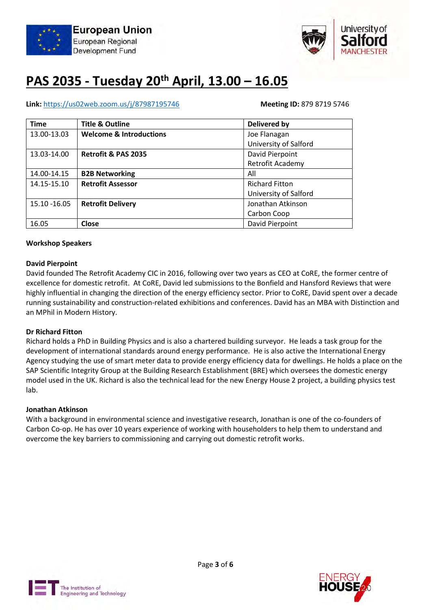



## PAS 2035 - Tuesday 20th April, 13.00 – 16.05

### Link: https://us02web.zoom.us/j/87987195746 Meeting ID: 879 8719 5746

| <b>Time</b>  | <b>Title &amp; Outline</b>         | <b>Delivered by</b>   |
|--------------|------------------------------------|-----------------------|
| 13.00-13.03  | <b>Welcome &amp; Introductions</b> | Joe Flanagan          |
|              |                                    | University of Salford |
| 13.03-14.00  | <b>Retrofit &amp; PAS 2035</b>     | David Pierpoint       |
|              |                                    | Retrofit Academy      |
| 14.00-14.15  | <b>B2B Networking</b>              | All                   |
| 14.15-15.10  | <b>Retrofit Assessor</b>           | <b>Richard Fitton</b> |
|              |                                    | University of Salford |
| 15.10 -16.05 | <b>Retrofit Delivery</b>           | Jonathan Atkinson     |
|              |                                    | Carbon Coop           |
| 16.05        | Close                              | David Pierpoint       |

#### Workshop Speakers

#### David Pierpoint

David founded The Retrofit Academy CIC in 2016, following over two years as CEO at CoRE, the former centre of excellence for domestic retrofit. At CoRE, David led submissions to the Bonfield and Hansford Reviews that were highly influential in changing the direction of the energy efficiency sector. Prior to CoRE, David spent over a decade running sustainability and construction-related exhibitions and conferences. David has an MBA with Distinction and an MPhil in Modern History.

#### Dr Richard Fitton

Richard holds a PhD in Building Physics and is also a chartered building surveyor. He leads a task group for the development of international standards around energy performance. He is also active the International Energy Agency studying the use of smart meter data to provide energy efficiency data for dwellings. He holds a place on the SAP Scientific Integrity Group at the Building Research Establishment (BRE) which oversees the domestic energy model used in the UK. Richard is also the technical lead for the new Energy House 2 project, a building physics test lab.

#### Jonathan Atkinson

With a background in environmental science and investigative research, Jonathan is one of the co-founders of Carbon Co-op. He has over 10 years experience of working with householders to help them to understand and overcome the key barriers to commissioning and carrying out domestic retrofit works.



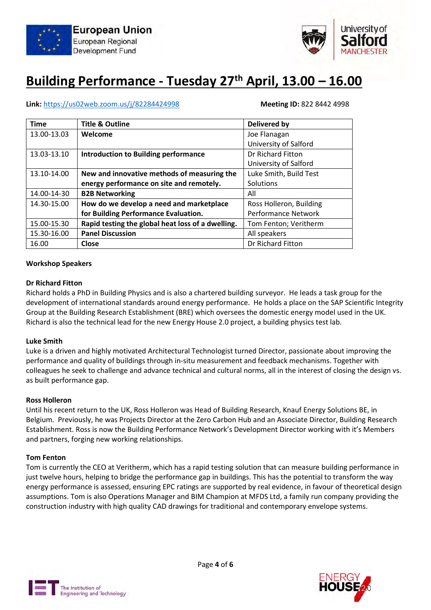



### Building Performance - Tuesday 27<sup>th</sup> April, 13.00 - 16.00

#### Link: https://us02web.zoom.us/j/82284424998 Meeting ID: 822 8442 4998

| <b>Time</b> | <b>Title &amp; Outline</b>                        | <b>Delivered by</b>        |
|-------------|---------------------------------------------------|----------------------------|
| 13.00-13.03 | Welcome                                           | Joe Flanagan               |
|             |                                                   | University of Salford      |
| 13.03-13.10 | <b>Introduction to Building performance</b>       | Dr Richard Fitton          |
|             |                                                   | University of Salford      |
| 13.10-14.00 | New and innovative methods of measuring the       | Luke Smith, Build Test     |
|             | energy performance on site and remotely.          | Solutions                  |
| 14.00-14-30 | <b>B2B Networking</b>                             | All                        |
| 14.30-15.00 | How do we develop a need and marketplace          | Ross Holleron, Building    |
|             | for Building Performance Evaluation.              | <b>Performance Network</b> |
| 15.00-15.30 | Rapid testing the global heat loss of a dwelling. | Tom Fenton; Veritherm      |
| 15.30-16.00 | <b>Panel Discussion</b>                           | All speakers               |
| 16.00       | <b>Close</b>                                      | Dr Richard Fitton          |

#### Workshop Speakers

#### Dr Richard Fitton

Richard holds a PhD in Building Physics and is also a chartered building surveyor. He leads a task group for the development of international standards around energy performance. He holds a place on the SAP Scientific Integrity Group at the Building Research Establishment (BRE) which oversees the domestic energy model used in the UK. Richard is also the technical lead for the new Energy House 2.0 project, a building physics test lab.

#### Luke Smith

Luke is a driven and highly motivated Architectural Technologist turned Director, passionate about improving the performance and quality of buildings through in-situ measurement and feedback mechanisms. Together with colleagues he seek to challenge and advance technical and cultural norms, all in the interest of closing the design vs. as built performance gap.

#### Ross Holleron

Until his recent return to the UK, Ross Holleron was Head of Building Research, Knauf Energy Solutions BE, in Belgium. Previously, he was Projects Director at the Zero Carbon Hub and an Associate Director, Building Research Establishment. Ross is now the Building Performance Network's Development Director working with it's Members and partners, forging new working relationships.

#### Tom Fenton

Tom is currently the CEO at Veritherm, which has a rapid testing solution that can measure building performance in just twelve hours, helping to bridge the performance gap in buildings. This has the potential to transform the way energy performance is assessed, ensuring EPC ratings are supported by real evidence, in favour of theoretical design assumptions. Tom is also Operations Manager and BIM Champion at MFDS Ltd, a family run company providing the construction industry with high quality CAD drawings for traditional and contemporary envelope systems.



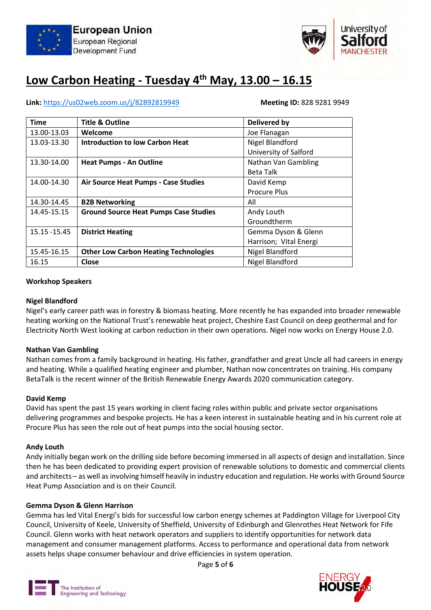



### Low Carbon Heating - Tuesday  $4<sup>th</sup>$  May, 13.00 - 16.15

#### Link: https://us02web.zoom.us/j/82892819949 Meeting ID: 828 9281 9949

| <b>Time</b>  | <b>Title &amp; Outline</b>                   | <b>Delivered by</b>    |
|--------------|----------------------------------------------|------------------------|
| 13.00-13.03  | Welcome                                      | Joe Flanagan           |
| 13.03-13.30  | <b>Introduction to low Carbon Heat</b>       | Nigel Blandford        |
|              |                                              | University of Salford  |
| 13.30-14.00  | <b>Heat Pumps - An Outline</b>               | Nathan Van Gambling    |
|              |                                              | <b>Beta Talk</b>       |
| 14.00-14.30  | <b>Air Source Heat Pumps - Case Studies</b>  | David Kemp             |
|              |                                              | <b>Procure Plus</b>    |
| 14.30-14.45  | <b>B2B Networking</b>                        | All                    |
| 14.45-15.15  | <b>Ground Source Heat Pumps Case Studies</b> | Andy Louth             |
|              |                                              | Groundtherm            |
| 15.15 -15.45 | <b>District Heating</b>                      | Gemma Dyson & Glenn    |
|              |                                              | Harrison; Vital Energi |
| 15.45-16.15  | <b>Other Low Carbon Heating Technologies</b> | Nigel Blandford        |
| 16.15        | Close                                        | Nigel Blandford        |

#### Workshop Speakers

#### Nigel Blandford

Nigel's early career path was in forestry & biomass heating. More recently he has expanded into broader renewable heating working on the National Trust's renewable heat project, Cheshire East Council on deep geothermal and for Electricity North West looking at carbon reduction in their own operations. Nigel now works on Energy House 2.0.

#### Nathan Van Gambling

Nathan comes from a family background in heating. His father, grandfather and great Uncle all had careers in energy and heating. While a qualified heating engineer and plumber, Nathan now concentrates on training. His company BetaTalk is the recent winner of the British Renewable Energy Awards 2020 communication category.

#### David Kemp

David has spent the past 15 years working in client facing roles within public and private sector organisations delivering programmes and bespoke projects. He has a keen interest in sustainable heating and in his current role at Procure Plus has seen the role out of heat pumps into the social housing sector.

#### Andy Louth

Andy initially began work on the drilling side before becoming immersed in all aspects of design and installation. Since then he has been dedicated to providing expert provision of renewable solutions to domestic and commercial clients and architects – as well as involving himself heavily in industry education and regulation. He works with Ground Source Heat Pump Association and is on their Council.

#### Gemma Dyson & Glenn Harrison

Gemma has led Vital Energi's bids for successful low carbon energy schemes at Paddington Village for Liverpool City Council, University of Keele, University of Sheffield, University of Edinburgh and Glenrothes Heat Network for Fife Council. Glenn works with heat network operators and suppliers to identify opportunities for network data management and consumer management platforms. Access to performance and operational data from network assets helps shape consumer behaviour and drive efficiencies in system operation.

Page 5 of 6